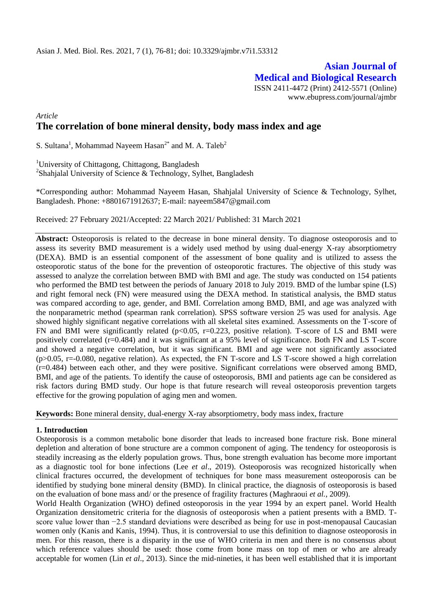**Asian Journal of Medical and Biological Research** ISSN 2411-4472 (Print) 2412-5571 (Online)

www.ebupress.com/journal/ajmbr

## *Article*

# **The correlation of bone mineral density, body mass index and age**

S. Sultana<sup>1</sup>, Mohammad Nayeem Hasan<sup>2\*</sup> and M. A. Taleb<sup>2</sup>

<sup>1</sup>University of Chittagong, Chittagong, Bangladesh <sup>2</sup>Shahjalal University of Science & Technology, Sylhet, Bangladesh

\*Corresponding author: Mohammad Nayeem Hasan, Shahjalal University of Science & Technology, Sylhet, Bangladesh. Phone: +8801671912637; E-mail: [nayeem5847@gmail.com](mailto:nayeem5847@gmail.com)

Received: 27 February 2021/Accepted: 22 March 2021/ Published: 31 March 2021

**Abstract:** Osteoporosis is related to the decrease in bone mineral density. To diagnose osteoporosis and to assess its severity BMD measurement is a widely used method by using dual-energy X-ray absorptiometry (DEXA). BMD is an essential component of the assessment of bone quality and is utilized to assess the osteoporotic status of the bone for the prevention of osteoporotic fractures. The objective of this study was assessed to analyze the correlation between BMD with BMI and age. The study was conducted on 154 patients who performed the BMD test between the periods of January 2018 to July 2019. BMD of the lumbar spine (LS) and right femoral neck (FN) were measured using the DEXA method. In statistical analysis, the BMD status was compared according to age, gender, and BMI. Correlation among BMD, BMI, and age was analyzed with the nonparametric method (spearman rank correlation). SPSS software version 25 was used for analysis. Age showed highly significant negative correlations with all skeletal sites examined. Assessments on the T-score of FN and BMI were significantly related (p<0.05, r=0.223, positive relation). T-score of LS and BMI were positively correlated (r=0.484) and it was significant at a 95% level of significance. Both FN and LS T-score and showed a negative correlation, but it was significant. BMI and age were not significantly associated  $(p>0.05, r=-0.080,$  negative relation). As expected, the FN T-score and LS T-score showed a high correlation (r=0.484) between each other, and they were positive. Significant correlations were observed among BMD, BMI, and age of the patients. To identify the cause of osteoporosis, BMI and patients age can be considered as risk factors during BMD study. Our hope is that future research will reveal osteoporosis prevention targets effective for the growing population of aging men and women.

**Keywords:** Bone mineral density, dual-energy X-ray absorptiometry, body mass index, fracture

## **1. Introduction**

Osteoporosis is a common metabolic bone disorder that leads to increased bone fracture risk. Bone mineral depletion and alteration of bone structure are a common component of aging. The tendency for osteoporosis is steadily increasing as the elderly population grows. Thus, bone strength evaluation has become more important as a diagnostic tool for bone infections (Lee *et al*., 2019). Osteoporosis was recognized historically when clinical fractures occurred, the development of techniques for bone mass measurement osteoporosis can be identified by studying bone mineral density (BMD). In clinical practice, the diagnosis of osteoporosis is based on the evaluation of bone mass and/ or the presence of fragility fractures (Maghraoui *et al.*, 2009).

World Health Organization (WHO) defined osteoporosis in the year 1994 by an expert panel. World Health Organization densitometric criteria for the diagnosis of osteoporosis when a patient presents with a BMD. Tscore value lower than −2.5 standard deviations were described as being for use in post-menopausal Caucasian women only (Kanis and Kanis, 1994). Thus, it is controversial to use this definition to diagnose osteoporosis in men. For this reason, there is a disparity in the use of WHO criteria in men and there is no consensus about which reference values should be used: those come from bone mass on top of men or who are already acceptable for women (Lin *et al*., 2013). Since the mid-nineties, it has been well established that it is important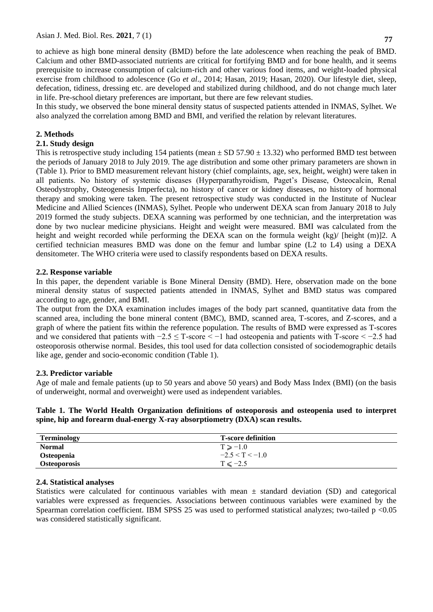to achieve as high bone mineral density (BMD) before the late adolescence when reaching the peak of BMD. Calcium and other BMD-associated nutrients are critical for fortifying BMD and for bone health, and it seems prerequisite to increase consumption of calcium-rich and other various food items, and weight-loaded physical exercise from childhood to adolescence (Go *et al*., 2014; Hasan, 2019; Hasan, 2020). Our lifestyle diet, sleep, defecation, tidiness, dressing etc. are developed and stabilized during childhood, and do not change much later in life. Pre-school dietary preferences are important, but there are few relevant studies.

In this study, we observed the bone mineral density status of suspected patients attended in INMAS, Sylhet. We also analyzed the correlation among BMD and BMI, and verified the relation by relevant literatures.

# **2. Methods**

## **2.1. Study design**

This is retrospective study including 154 patients (mean  $\pm$  SD 57.90  $\pm$  13.32) who performed BMD test between the periods of January 2018 to July 2019. The age distribution and some other primary parameters are shown in (Table 1). Prior to BMD measurement relevant history (chief complaints, age, sex, height, weight) were taken in all patients. No history of systemic diseases (Hyperparathyroidism, Paget's Disease, Osteocalcin, Renal Osteodystrophy, Osteogenesis Imperfecta), no history of cancer or kidney diseases, no history of hormonal therapy and smoking were taken. The present retrospective study was conducted in the Institute of Nuclear Medicine and Allied Sciences (INMAS), Sylhet. People who underwent DEXA scan from January 2018 to July 2019 formed the study subjects. DEXA scanning was performed by one technician, and the interpretation was done by two nuclear medicine physicians. Height and weight were measured. BMI was calculated from the height and weight recorded while performing the DEXA scan on the formula weight (kg)/ [height (m)]2. A certified technician measures BMD was done on the femur and lumbar spine (L2 to L4) using a DEXA densitometer. The WHO criteria were used to classify respondents based on DEXA results.

## **2.2. Response variable**

In this paper, the dependent variable is Bone Mineral Density (BMD). Here, observation made on the bone mineral density status of suspected patients attended in INMAS, Sylhet and BMD status was compared according to age, gender, and BMI.

The output from the DXA examination includes images of the body part scanned, quantitative data from the scanned area, including the bone mineral content (BMC), BMD, scanned area, T-scores, and Z-scores, and a graph of where the patient fits within the reference population. The results of BMD were expressed as T-scores and we considered that patients with −2.5 ≤ T-score < −1 had osteopenia and patients with T-score < −2.5 had osteoporosis otherwise normal. Besides, this tool used for data collection consisted of sociodemographic details like age, gender and socio-economic condition (Table 1).

## **2.3. Predictor variable**

Age of male and female patients (up to 50 years and above 50 years) and Body Mass Index (BMI) (on the basis of underweight, normal and overweight) were used as independent variables.

**Table 1. The World Health Organization definitions of osteoporosis and osteopenia used to interpret spine, hip and forearm dual**‐**energy X-ray absorptiometry (DXA) scan results.**

| <b>Terminology</b>  | <b>T-score definition</b> |
|---------------------|---------------------------|
| <b>Normal</b>       | $T \ge -1.0$              |
| <b>Osteopenia</b>   | $-2.5 < T < -1.0$         |
| <b>Osteoporosis</b> | $T \le -2.5$              |

## **2.4. Statistical analyses**

Statistics were calculated for continuous variables with mean  $\pm$  standard deviation (SD) and categorical variables were expressed as frequencies. Associations between continuous variables were examined by the Spearman correlation coefficient. IBM SPSS 25 was used to performed statistical analyzes; two-tailed p <0.05 was considered statistically significant.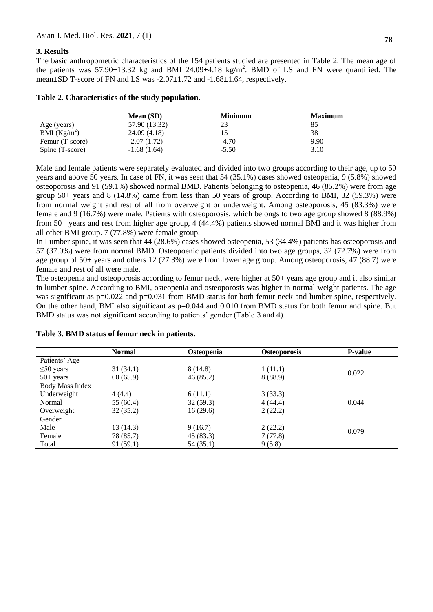# **3. Results**

The basic anthropometric characteristics of the 154 patients studied are presented in Table 2. The mean age of the patients was 57.90 $\pm$ 13.32 kg and BMI 24.09 $\pm$ 4.18 kg/m<sup>2</sup>. BMD of LS and FN were quantified. The mean $\pm$ SD T-score of FN and LS was  $-2.07\pm1.72$  and  $-1.68\pm1.64$ , respectively.

|  | Table 2. Characteristics of the study population. |  |  |  |
|--|---------------------------------------------------|--|--|--|
|--|---------------------------------------------------|--|--|--|

|                 | Mean (SD)     | <b>Minimum</b> | <b>Maximum</b> |  |
|-----------------|---------------|----------------|----------------|--|
| Age (years)     | 57.90 (13.32) | 23             | 85             |  |
| BMI $(Kg/m^2)$  | 24.09 (4.18)  |                | 38             |  |
| Femur (T-score) | $-2.07(1.72)$ | $-4.70$        | 9.90           |  |
| Spine (T-score) | $-1.68(1.64)$ | $-5.50$        | 3.10           |  |

Male and female patients were separately evaluated and divided into two groups according to their age, up to 50 years and above 50 years. In case of FN, it was seen that 54 (35.1%) cases showed osteopenia, 9 (5.8%) showed osteoporosis and 91 (59.1%) showed normal BMD. Patients belonging to osteopenia, 46 (85.2%) were from age group 50+ years and 8 (14.8%) came from less than 50 years of group. According to BMI, 32 (59.3%) were from normal weight and rest of all from overweight or underweight. Among osteoporosis, 45 (83.3%) were female and 9 (16.7%) were male. Patients with osteoporosis, which belongs to two age group showed 8 (88.9%) from 50+ years and rest from higher age group, 4 (44.4%) patients showed normal BMI and it was higher from all other BMI group. 7 (77.8%) were female group.

In Lumber spine, it was seen that 44 (28.6%) cases showed osteopenia, 53 (34.4%) patients has osteoporosis and 57 (37.0%) were from normal BMD. Osteopoenic patients divided into two age groups, 32 (72.7%) were from age group of 50+ years and others 12 (27.3%) were from lower age group. Among osteoporosis, 47 (88.7) were female and rest of all were male.

The osteopenia and osteoporosis according to femur neck, were higher at 50+ years age group and it also similar in lumber spine. According to BMI, osteopenia and osteoporosis was higher in normal weight patients. The age was significant as  $p=0.022$  and  $p=0.031$  from BMD status for both femur neck and lumber spine, respectively. On the other hand, BMI also significant as p=0.044 and 0.010 from BMD status for both femur and spine. But BMD status was not significant according to patients' gender (Table 3 and 4).

|                        | <b>Normal</b> | <b>Osteopenia</b> | <b>Osteoporosis</b> | <b>P-value</b> |
|------------------------|---------------|-------------------|---------------------|----------------|
| Patients' Age          |               |                   |                     |                |
| $\leq 50$ years        | 31(34.1)      | 8 (14.8)          | 1(11.1)             |                |
| $50+$ years            | 60(65.9)      | 46(85.2)          | 8(88.9)             | 0.022          |
| <b>Body Mass Index</b> |               |                   |                     |                |
| Underweight            | 4(4.4)        | 6(11.1)           | 3(33.3)             |                |
| Normal                 | 55 $(60.4)$   | 32(59.3)          | 4(44.4)             | 0.044          |
| Overweight             | 32(35.2)      | 16(29.6)          | 2(22.2)             |                |
| Gender                 |               |                   |                     |                |
| Male                   | 13 (14.3)     | 9(16.7)           | 2(22.2)             |                |
| Female                 | 78 (85.7)     | 45(83.3)          | 7(77.8)             | 0.079          |
| Total                  | 91(59.1)      | 54(35.1)          | 9(5.8)              |                |

## **Table 3. BMD status of femur neck in patients.**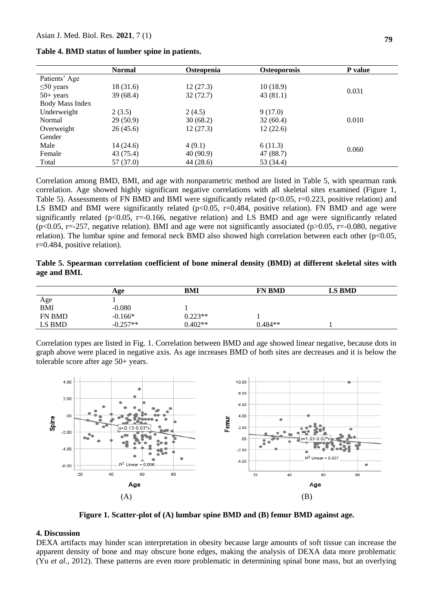| Table 4. BMD status of lumber spine in patients. |  |  |  |  |
|--------------------------------------------------|--|--|--|--|
|--------------------------------------------------|--|--|--|--|

|                        | <b>Normal</b> | <b>Osteopenia</b> | <b>Osteoporosis</b> | <b>P</b> value |
|------------------------|---------------|-------------------|---------------------|----------------|
| Patients' Age          |               |                   |                     |                |
| $\leq 50$ years        | 18 (31.6)     | 12(27.3)          | 10(18.9)            |                |
| $50+$ years            | 39(68.4)      | 32 (72.7)         | 43 (81.1)           | 0.031          |
| <b>Body Mass Index</b> |               |                   |                     |                |
| Underweight            | 2(3.5)        | 2(4.5)            | 9(17.0)             |                |
| Normal                 | 29(50.9)      | 30(68.2)          | 32(60.4)            | 0.010          |
| Overweight             | 26(45.6)      | 12(27.3)          | 12(22.6)            |                |
| Gender                 |               |                   |                     |                |
| Male                   | 14(24.6)      | 4(9.1)            | 6(11.3)             |                |
| Female                 | 43 (75.4)     | 40(90.9)          | 47 (88.7)           | 0.060          |
| Total                  | 57(37.0)      | 44 (28.6)         | 53 (34.4)           |                |

Correlation among BMD, BMI, and age with nonparametric method are listed in Table 5, with spearman rank correlation. Age showed highly significant negative correlations with all skeletal sites examined (Figure 1, Table 5). Assessments of FN BMD and BMI were significantly related ( $p<0.05$ ,  $r=0.223$ , positive relation) and LS BMD and BMI were significantly related ( $p<0.05$ ,  $r=0.484$ , positive relation). FN BMD and age were significantly related ( $p<0.05$ ,  $r=-0.166$ , negative relation) and LS BMD and age were significantly related  $(p<0.05, r=-257,$  negative relation). BMI and age were not significantly associated ( $p>0.05, r=-0.080$ , negative relation). The lumbar spine and femoral neck BMD also showed high correlation between each other ( $p<0.05$ , r=0.484, positive relation).

| Table 5. Spearman correlation coefficient of bone mineral density (BMD) at different skeletal sites with |  |  |  |  |  |
|----------------------------------------------------------------------------------------------------------|--|--|--|--|--|
| age and BMI.                                                                                             |  |  |  |  |  |

|            | Age        | BMI       | <b>FN BMD</b> | <b>LS BMD</b> |  |
|------------|------------|-----------|---------------|---------------|--|
|            |            |           |               |               |  |
| Age<br>BMI | $-0.080$   |           |               |               |  |
| FN BMD     | $-0.166*$  | $0.223**$ |               |               |  |
| LS BMD     | $-0.257**$ | $0.402**$ | $0.484**$     |               |  |

Correlation types are listed in Fig. 1. Correlation between BMD and age showed linear negative, because dots in graph above were placed in negative axis. As age increases BMD of both sites are decreases and it is below the tolerable score after age 50+ years.



**Figure 1. Scatter-plot of (A) lumbar spine BMD and (B) femur BMD against age.**

#### **4. Discussion**

DEXA artifacts may hinder scan interpretation in obesity because large amounts of soft tissue can increase the apparent density of bone and may obscure bone edges, making the analysis of DEXA data more problematic (Yu *et al*., 2012). These patterns are even more problematic in determining spinal bone mass, but an overlying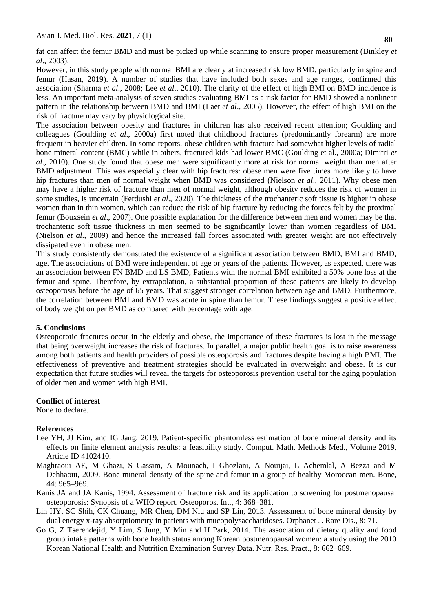fat can affect the femur BMD and must be picked up while scanning to ensure proper measurement (Binkley *et al*., 2003).

However, in this study people with normal BMI are clearly at increased risk low BMD, particularly in spine and femur (Hasan, 2019). A number of studies that have included both sexes and age ranges, confirmed this association (Sharma *et al*., 2008; Lee *et al*., 2010). The clarity of the effect of high BMI on BMD incidence is less. An important meta-analysis of seven studies evaluating BMI as a risk factor for BMD showed a nonlinear pattern in the relationship between BMD and BMI (Laet *et al*., 2005). However, the effect of high BMI on the risk of fracture may vary by physiological site.

The association between obesity and fractures in children has also received recent attention; Goulding and colleagues (Goulding *et al*., 2000a) first noted that childhood fractures (predominantly forearm) are more frequent in heavier children. In some reports, obese children with fracture had somewhat higher levels of radial bone mineral content (BMC) while in others, fractured kids had lower BMC (Goulding et al., 2000a; Dimitri *et al*., 2010). One study found that obese men were significantly more at risk for normal weight than men after BMD adjustment. This was especially clear with hip fractures: obese men were five times more likely to have hip fractures than men of normal weight when BMD was considered (Nielson *et al*., 2011). Why obese men may have a higher risk of fracture than men of normal weight, although obesity reduces the risk of women in some studies, is uncertain (Ferdushi *et al*., 2020). The thickness of the trochanteric soft tissue is higher in obese women than in thin women, which can reduce the risk of hip fracture by reducing the forces felt by the proximal femur (Bouxsein *et al*., 2007). One possible explanation for the difference between men and women may be that trochanteric soft tissue thickness in men seemed to be significantly lower than women regardless of BMI (Nielson *et al*., 2009) and hence the increased fall forces associated with greater weight are not effectively dissipated even in obese men.

This study consistently demonstrated the existence of a significant association between BMD, BMI and BMD, age. The associations of BMI were independent of age or years of the patients. However, as expected, there was an association between FN BMD and LS BMD, Patients with the normal BMI exhibited a 50% bone loss at the femur and spine. Therefore, by extrapolation, a substantial proportion of these patients are likely to develop osteoporosis before the age of 65 years. That suggest stronger correlation between age and BMD. Furthermore, the correlation between BMI and BMD was acute in spine than femur. These findings suggest a positive effect of body weight on per BMD as compared with percentage with age.

## **5. Conclusions**

Osteoporotic fractures occur in the elderly and obese, the importance of these fractures is lost in the message that being overweight increases the risk of fractures. In parallel, a major public health goal is to raise awareness among both patients and health providers of possible osteoporosis and fractures despite having a high BMI. The effectiveness of preventive and treatment strategies should be evaluated in overweight and obese. It is our expectation that future studies will reveal the targets for osteoporosis prevention useful for the aging population of older men and women with high BMI.

## **Conflict of interest**

None to declare.

## **References**

- Lee YH, JJ Kim, and IG Jang, 2019. Patient-specific phantomless estimation of bone mineral density and its effects on finite element analysis results: a feasibility study. Comput. Math. Methods Med., Volume 2019, Article ID 4102410.
- Maghraoui AE, M Ghazi, S Gassim, A Mounach, I Ghozlani, A Nouijai, L Achemlal, A Bezza and M Dehhaoui, 2009. Bone mineral density of the spine and femur in a group of healthy Moroccan men. Bone, 44: 965–969.
- Kanis JA and JA Kanis, 1994. Assessment of fracture risk and its application to screening for postmenopausal osteoporosis: Synopsis of a WHO report. Osteoporos. Int., 4: 368–381.
- Lin HY, SC Shih, CK Chuang, MR Chen, DM Niu and SP Lin, 2013. Assessment of bone mineral density by dual energy x-ray absorptiometry in patients with mucopolysaccharidoses. Orphanet J. Rare Dis., 8: 71.
- Go G, Z Tserendejid, Y Lim, S Jung, Y Min and H Park, 2014. The association of dietary quality and food group intake patterns with bone health status among Korean postmenopausal women: a study using the 2010 Korean National Health and Nutrition Examination Survey Data. Nutr. Res. Pract., 8: 662–669.